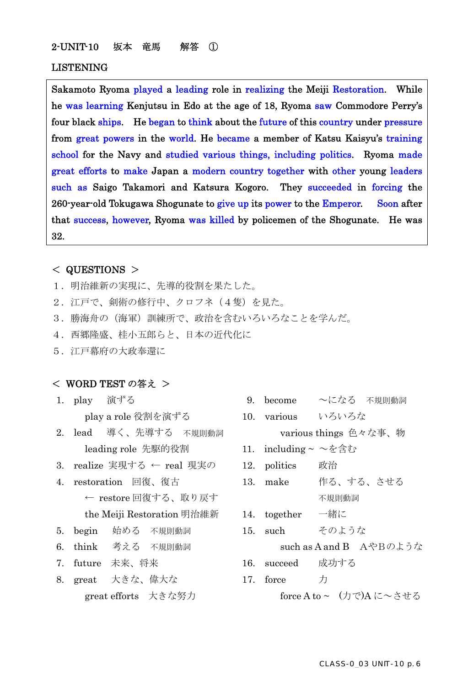### 2-UNIT-10 坂本 竜馬 解答 ①

#### LISTENING

Sakamoto Ryoma played a leading role in realizing the Meiji Restoration. While he was learning Kenjutsu in Edo at the age of 18, Ryoma saw Commodore Perry's four black ships. He began to think about the future of this country under pressure from great powers in the world. He became a member of Katsu Kaisyu's training school for the Navy and studied various things, including politics. Ryoma made great efforts to make Japan a modern country together with other young leaders such as Saigo Takamori and Katsura Kogoro. They succeeded in forcing the 260-year-old Tokugawa Shogunate to give up its power to the Emperor. Soon after that success, however, Ryoma was killed by policemen of the Shogunate. He was 32.

# < QUESTIONS >

- 1. 明治維新の実現に、先導的役割を果たした。
- 2. 江戸で、剣術の修行中、クロフネ(4隻)を見た。
- 3.勝海舟の(海軍)訓練所で、政治を含むいろいろなことを学んだ。
- 4.西郷隆盛、桂小五郎らと、日本の近代化に
- 5.江戸幕府の大政奉還に

### < WORD TEST の答え >

- 
- leading role 先駆的役割 11. including ~ ~を含む
- 3. realize 実現する ← real 現実の 12. politics 政治
- ← restore 回復する、取り戻す アンファン イルの動詞 the Meiji Restoration 明治維新 14. together 一緒に
- 5. begin 始める 不規則動詞 15. such そのような
- 
- 
- 8. great 大きな、偉大な 17. force 力 great efforts 大きな努力 force A to ~ (力で)A に~させる
- 1. play 演ずる 9. become ~になる 不規則動詞
- play a role 役割を演ずる 10. various いろいろな 2. lead 導く、先導する 不規則動詞 various things 色々な事、物
	-
	-
- 4. restoration 回復、復古 13. make 作る、する、させる
	-
	-

6. think 考える 不規則動詞 such as A and B AやBのような

- 7. future 未来、将来 16. succeed 成功する
	-